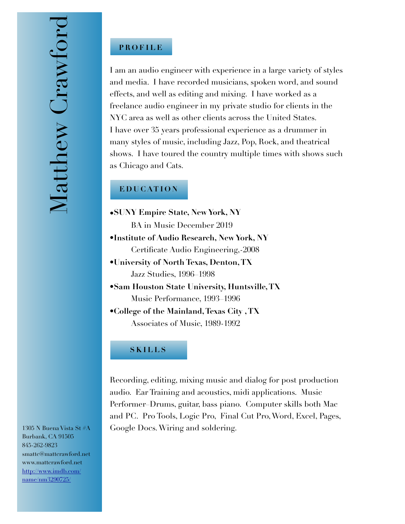### **PROFILE**

I am an audio engineer with experience in a large variety of styles and media. I have recorded musicians, spoken word, and sound effects, and well as editing and mixing. I have worked as a freelance audio engineer in my private studio for clients in the NYC area as well as other clients across the United States. I have over 35 years professional experience as a drummer in many styles of music, including Jazz, Pop, Rock, and theatrical shows. I have toured the country multiple times with shows such as Chicago and Cats.

#### **EDUCATION**

- **•SUNY Empire State, New York, NY** BA in Music December 2019
- **•Institute of Audio Research, New York, NY**  Certificate Audio Engineering,-2008
- **•University of North Texas, Denton, TX**  Jazz Studies, 1996–1998
- **•Sam Houston State University, Huntsville, TX**  Music Performance, 1993–1996
- •**College of the Mainland, Texas City , TX** Associates of Music, 1989-1992

#### **SKILLS**

Recording, editing, mixing music and dialog for post production audio. Ear Training and acoustics, midi applications. Music Performer–Drums, guitar, bass piano. Computer skills both Mac and PC. Pro Tools, Logic Pro, Final Cut Pro, Word, Excel, Pages, Google Docs. Wiring and soldering.

1305 N Buena Vista St #A Burbank, CA 91505 845-262-9823 smattc@mattcrawford.net www.mattcrawford.net [http://www.imdb.com/](http://www.imdb.com/name/nm3290725/) name/nm3290725/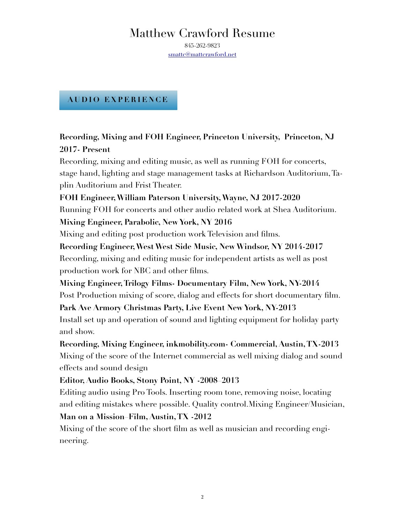845-262-9823 [smattc@mattcrawford.net](mailto:smattc@mattcrawford.net)

#### **AUDIO EXPERIENCE**

# **Recording, Mixing and FOH Engineer, Princeton University, Princeton, NJ 2017- Present**

Recording, mixing and editing music, as well as running FOH for concerts, stage hand, lighting and stage management tasks at Richardson Auditorium, Taplin Auditorium and Frist Theater.

#### **FOH Engineer, William Paterson University, Wayne, NJ 2017-2020**

Running FOH for concerts and other audio related work at Shea Auditorium.

#### **Mixing Engineer, Parabolic, New York, NY 2016**

Mixing and editing post production work Television and films.

## **Recording Engineer, West West Side Music, New Windsor, NY 2014-2017**

Recording, mixing and editing music for independent artists as well as post production work for NBC and other films.

#### **Mixing Engineer, Trilogy Films- Documentary Film, New York, NY-2014**

Post Production mixing of score, dialog and effects for short documentary film.

#### **Park Ave Armory Christmas Party, Live Event New York, NY-2013**

Install set up and operation of sound and lighting equipment for holiday party and show.

# **Recording, Mixing Engineer, inkmobility.com- Commercial, Austin, TX-2013**  Mixing of the score of the Internet commercial as well mixing dialog and sound effects and sound design

## **Editor, Audio Books, Stony Point, NY -2008–2013**

Editing audio using Pro Tools. Inserting room tone, removing noise, locating and editing mistakes where possible. Quality control.Mixing Engineer/Musician,

#### **Man on a Mission–Film, Austin, TX -2012**

Mixing of the score of the short film as well as musician and recording engineering.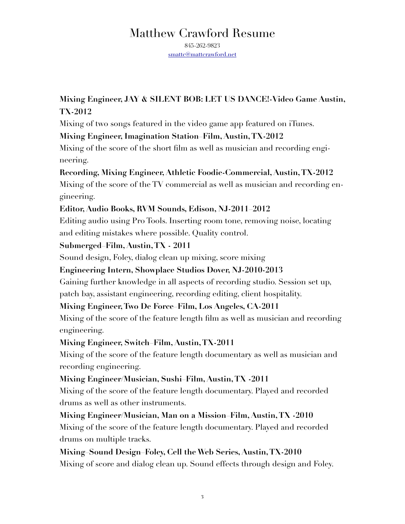845-262-9823 [smattc@mattcrawford.net](mailto:smattc@mattcrawford.net)

# **Mixing Engineer, JAY & SILENT BOB: LET US DANCE!-Video Game Austin, TX-2012**

Mixing of two songs featured in the video game app featured on iTunes.

# **Mixing Engineer, Imagination Station–Film, Austin, TX-2012**

Mixing of the score of the short film as well as musician and recording engineering.

# **Recording, Mixing Engineer, Athletic Foodie-Commercial, Austin, TX-2012**

Mixing of the score of the TV commercial as well as musician and recording engineering.

# **Editor, Audio Books, RVM Sounds, Edison, NJ-2011–2012**

Editing audio using Pro Tools. Inserting room tone, removing noise, locating and editing mistakes where possible. Quality control.

## **Submerged–Film, Austin, TX - 2011**

Sound design, Foley, dialog clean up mixing, score mixing

# **Engineering Intern, Showplace Studios Dover, NJ-2010-2013**

Gaining further knowledge in all aspects of recording studio. Session set up, patch bay, assistant engineering, recording editing, client hospitality.

# **Mixing Engineer, Two De Force–Film, Los Angeles, CA-2011**

Mixing of the score of the feature length film as well as musician and recording engineering.

## **Mixing Engineer, Switch–Film, Austin, TX-2011**

Mixing of the score of the feature length documentary as well as musician and recording engineering.

## **Mixing Engineer/Musician, Sushi–Film, Austin, TX -2011**

Mixing of the score of the feature length documentary. Played and recorded drums as well as other instruments.

# **Mixing Engineer/Musician, Man on a Mission–Film, Austin, TX -2010**  Mixing of the score of the feature length documentary. Played and recorded drums on multiple tracks.

**Mixing–Sound Design–Foley, Cell the Web Series, Austin, TX-2010**  Mixing of score and dialog clean up. Sound effects through design and Foley.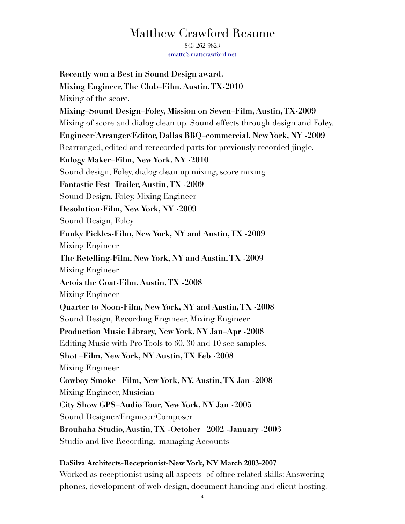845-262-9823 [smattc@mattcrawford.net](mailto:smattc@mattcrawford.net)

**Recently won a Best in Sound Design award. Mixing Engineer, The Club–Film, Austin, TX-2010**  Mixing of the score. **Mixing–Sound Design–Foley, Mission on Seven–Film, Austin, TX-2009**  Mixing of score and dialog clean up. Sound effects through design and Foley. **Engineer/Arranger/Editor, Dallas BBQ–commercial, New York, NY -2009**  Rearranged, edited and rerecorded parts for previously recorded jingle. **Eulogy Maker–Film, New York, NY -2010**  Sound design, Foley, dialog clean up mixing, score mixing **Fantastic Fest–Trailer, Austin, TX -2009**  Sound Design, Foley, Mixing Engineer **Desolution-Film, New York, NY -2009**  Sound Design, Foley **Funky Pickles-Film, New York, NY and Austin, TX -2009**  Mixing Engineer **The Retelling-Film, New York, NY and Austin, TX -2009**  Mixing Engineer **Artois the Goat-Film, Austin, TX -2008**  Mixing Engineer **Quarter to Noon-Film, New York, NY and Austin, TX -2008**  Sound Design, Recording Engineer, Mixing Engineer **Production Music Library, New York, NY Jan–Apr -2008**  Editing Music with Pro Tools to 60, 30 and 10 sec samples. **Shot –Film, New York, NY Austin, TX Feb -2008**  Mixing Engineer **Cowboy Smoke –Film, New York, NY, Austin, TX Jan -2008**  Mixing Engineer, Musician **City Show GPS–Audio Tour, New York, NY Jan -2005**  Sound Designer/Engineer/Composer **Brouhaha Studio, Austin, TX -October –2002 -January -2003** Studio and live Recording, managing Accounts

#### **DaSilva Architects-Receptionist-New York, NY March 2003-2007**

Worked as receptionist using all aspects of office related skills: Answering phones, development of web design, document handing and client hosting.